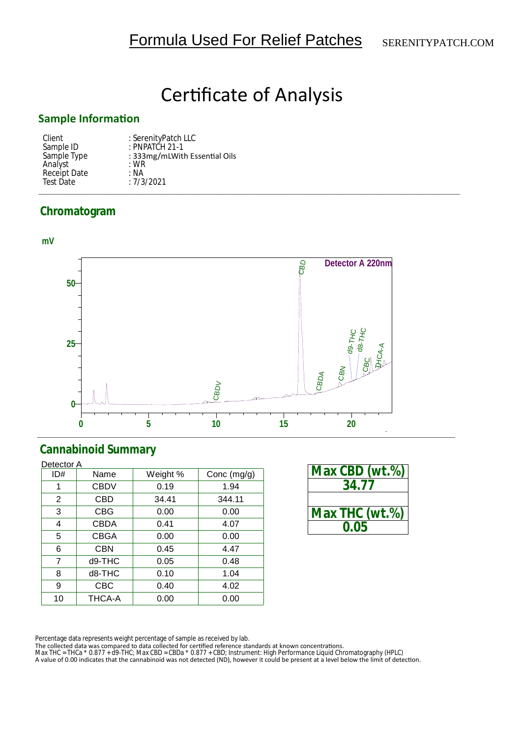# **Certificate of Analysis**

### **Sample InformaƟon**

| Client       | : SerenityPatch LLC           |
|--------------|-------------------------------|
| Sample ID    | $:$ PNPATCH 21-1              |
| Sample Type  | : 333mg/mLWith Essential Oils |
| Analyst      | $:$ WR                        |
| Receipt Date | : NA                          |
| Test Date    | :7/3/2021                     |
|              |                               |

## **Chromatogram**



## **Cannabinoid Summary**

| Detector A     |             |          |               |  |
|----------------|-------------|----------|---------------|--|
| ID#            | Name        | Weight % | Conc $(mg/g)$ |  |
| 1              | <b>CBDV</b> | 0.19     | 1.94          |  |
| 2              | CBD         | 34.41    | 344.11        |  |
| 3              | <b>CBG</b>  | 0.00     | 0.00          |  |
| 4              | <b>CBDA</b> | 0.41     | 4.07          |  |
| 5              | <b>CBGA</b> | 0.00     | 0.00          |  |
| 6              | <b>CBN</b>  | 0.45     | 4.47          |  |
| $\overline{7}$ | d9-THC      | 0.05     | 0.48          |  |
| 8              | d8-THC      | 0.10     | 1.04          |  |
| 9              | CBC         | 0.40     | 4.02          |  |
| 10             | THCA-A      | 0.00     | 0.00          |  |

| Max CBD (wt.%) |
|----------------|
| 34 77          |
|                |
| Max THC (wt.%) |
| 0.05           |

Percentage data represents weight percentage of sample as received by lab.

The collected data was compared to data collected for certified reference standards at known concentrations.<br>Max THC = THCa \* 0.877 + d9-THC; Max CBD = CBDa \* 0.877 + CBD; Instrument: High Performance Liquid Chromatography A value of 0.00 indicates that the cannabinoid was not detected (ND), however it could be present at a level below the limit of detection.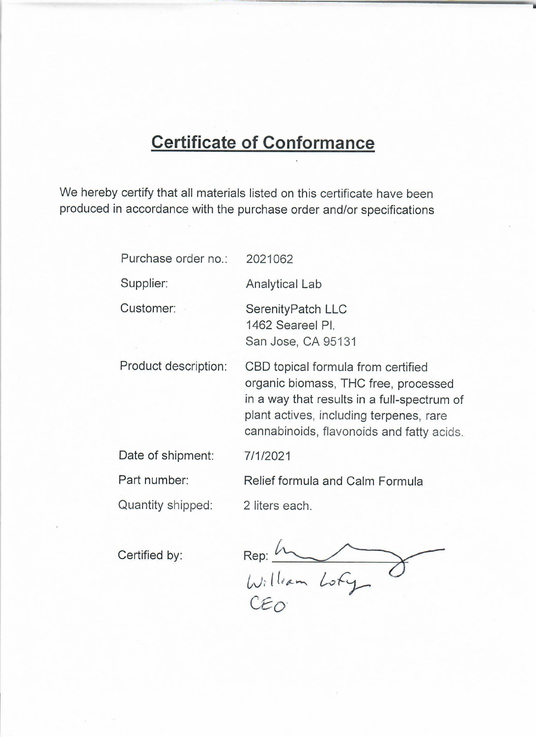# **Certificate of Conformance**

We hereby certify that all materials listed on this certificate have been produced in accordance with the purchase order and/or specifications

| Purchase order no.:  | 2021062                                                                                                                                                                                                           |
|----------------------|-------------------------------------------------------------------------------------------------------------------------------------------------------------------------------------------------------------------|
| Supplier:            | <b>Analytical Lab</b>                                                                                                                                                                                             |
| Customer:            | SerenityPatch LLC<br>1462 Seareel Pl.<br>San Jose, CA 95131                                                                                                                                                       |
| Product description: | CBD topical formula from certified<br>organic biomass, THC free, processed<br>in a way that results in a full-spectrum of<br>plant actives, including terpenes, rare<br>cannabinoids, flavonoids and fatty acids. |
| Date of shipment:    | 7/1/2021                                                                                                                                                                                                          |
| Part number:         | Relief formula and Calm Formula                                                                                                                                                                                   |
| Quantity shipped:    | 2 liters each.                                                                                                                                                                                                    |

Certified by:

Rep: In<br>William Lofy